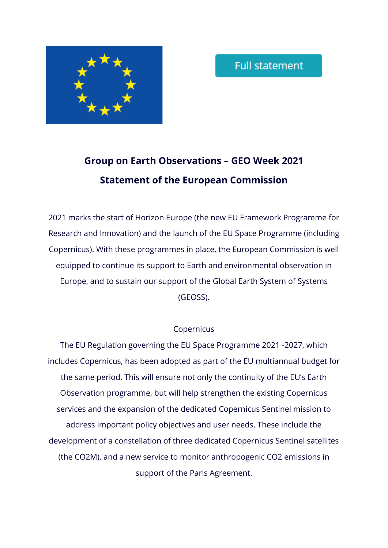

# **Group on Earth Observations – GEO Week 2021 Statement of the European Commission**

2021 marks the start of Horizon Europe (the new EU Framework Programme for Research and Innovation) and the launch of the EU Space Programme (including Copernicus). With these programmes in place, the European Commission is well equipped to continue its support to Earth and environmental observation in Europe, and to sustain our support of the Global Earth System of Systems (GEOSS).

## Copernicus

The EU Regulation governing the EU Space Programme 2021 -2027, which includes Copernicus, has been adopted as part of the EU multiannual budget for the same period. This will ensure not only the continuity of the EU's Earth Observation programme, but will help strengthen the existing Copernicus services and the expansion of the dedicated Copernicus Sentinel mission to address important policy objectives and user needs. These include the development of a constellation of three dedicated Copernicus Sentinel satellites (the CO2M), and a new service to monitor anthropogenic CO2 emissions in support of the Paris Agreement.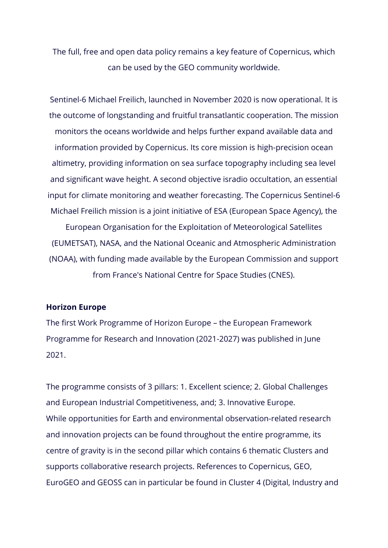The full, free and open data policy remains a key feature of Copernicus, which can be used by the GEO community worldwide.

Sentinel-6 Michael Freilich, launched in November 2020 is now operational. It is the outcome of longstanding and fruitful transatlantic cooperation. The mission monitors the oceans worldwide and helps further expand available data and information provided by Copernicus. Its core mission is high-precision ocean altimetry, providing information on sea surface topography including sea level and significant wave height. A second objective isradio occultation, an essential input for climate monitoring and weather forecasting. The Copernicus Sentinel-6 Michael Freilich mission is a joint initiative of ESA (European Space Agency), the European Organisation for the Exploitation of Meteorological Satellites

(EUMETSAT), NASA, and the National Oceanic and Atmospheric Administration (NOAA), with funding made available by the European Commission and support from France's National Centre for Space Studies (CNES).

#### **Horizon Europe**

The first Work Programme of Horizon Europe – the European Framework Programme for Research and Innovation (2021-2027) was published in June 2021.

The programme consists of 3 pillars: 1. Excellent science; 2. Global Challenges and European Industrial Competitiveness, and; 3. Innovative Europe. While opportunities for Earth and environmental observation-related research and innovation projects can be found throughout the entire programme, its centre of gravity is in the second pillar which contains 6 thematic Clusters and supports collaborative research projects. References to Copernicus, GEO, EuroGEO and GEOSS can in particular be found in Cluster 4 (Digital, Industry and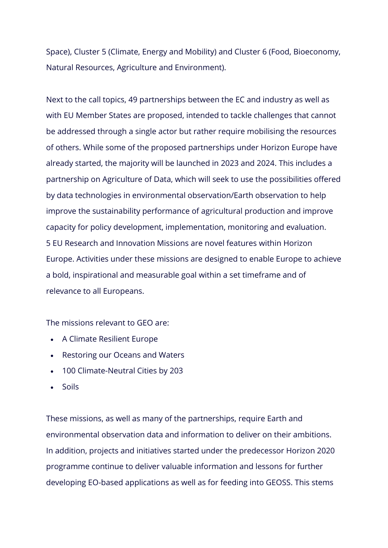Space), Cluster 5 (Climate, Energy and Mobility) and Cluster 6 (Food, Bioeconomy, Natural Resources, Agriculture and Environment).

Next to the call topics, 49 partnerships between the EC and industry as well as with EU Member States are proposed, intended to tackle challenges that cannot be addressed through a single actor but rather require mobilising the resources of others. While some of the proposed partnerships under Horizon Europe have already started, the majority will be launched in 2023 and 2024. This includes a partnership on Agriculture of Data, which will seek to use the possibilities offered by data technologies in environmental observation/Earth observation to help improve the sustainability performance of agricultural production and improve capacity for policy development, implementation, monitoring and evaluation. 5 EU Research and Innovation Missions are novel features within Horizon Europe. Activities under these missions are designed to enable Europe to achieve a bold, inspirational and measurable goal within a set timeframe and of relevance to all Europeans.

The missions relevant to GEO are:

- A Climate Resilient Europe
- Restoring our Oceans and Waters
- 100 Climate-Neutral Cities by 203
- Soils

These missions, as well as many of the partnerships, require Earth and environmental observation data and information to deliver on their ambitions. In addition, projects and initiatives started under the predecessor Horizon 2020 programme continue to deliver valuable information and lessons for further developing EO-based applications as well as for feeding into GEOSS. This stems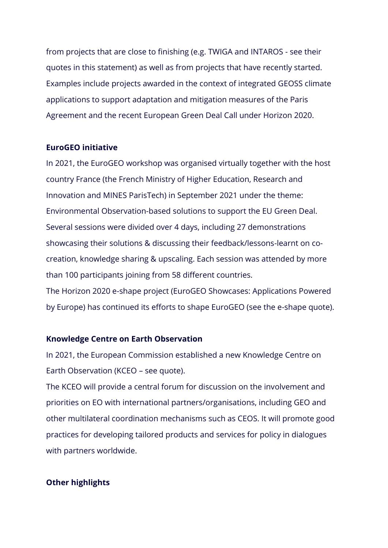from projects that are close to finishing (e.g. TWIGA and INTAROS - see their quotes in this statement) as well as from projects that have recently started. Examples include projects awarded in the context of integrated GEOSS climate applications to support adaptation and mitigation measures of the Paris Agreement and the recent European Green Deal Call under Horizon 2020.

#### **EuroGEO initiative**

In 2021, the EuroGEO workshop was organised virtually together with the host country France (the French Ministry of Higher Education, Research and Innovation and MINES ParisTech) in September 2021 under the theme: Environmental Observation-based solutions to support the EU Green Deal. Several sessions were divided over 4 days, including 27 demonstrations showcasing their solutions & discussing their feedback/lessons-learnt on cocreation, knowledge sharing & upscaling. Each session was attended by more than 100 participants joining from 58 different countries. The Horizon 2020 e-shape project (EuroGEO Showcases: Applications Powered by Europe) has continued its efforts to shape EuroGEO (see the e-shape quote).

#### **Knowledge Centre on Earth Observation**

In 2021, the European Commission established a new Knowledge Centre on Earth Observation (KCEO – see quote).

The KCEO will provide a central forum for discussion on the involvement and priorities on EO with international partners/organisations, including GEO and other multilateral coordination mechanisms such as CEOS. It will promote good practices for developing tailored products and services for policy in dialogues with partners worldwide.

### **Other highlights**